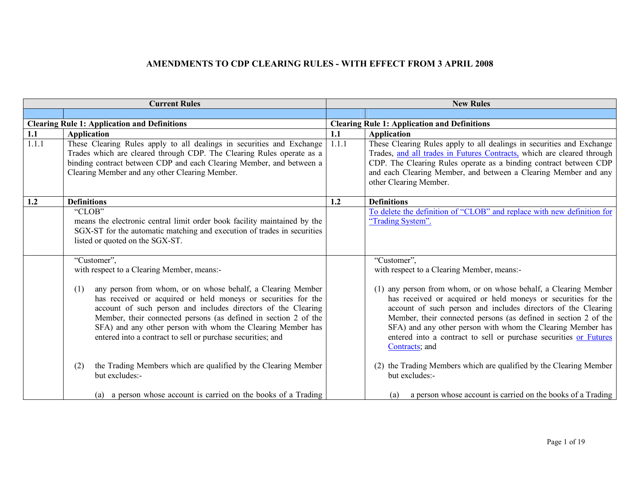| <b>Current Rules</b> |                                                                                                                                                                                                                                                                                                                                                                                                       | <b>New Rules</b> |                                                                                                                                                                                                                                                                                                                                                                                                                            |
|----------------------|-------------------------------------------------------------------------------------------------------------------------------------------------------------------------------------------------------------------------------------------------------------------------------------------------------------------------------------------------------------------------------------------------------|------------------|----------------------------------------------------------------------------------------------------------------------------------------------------------------------------------------------------------------------------------------------------------------------------------------------------------------------------------------------------------------------------------------------------------------------------|
|                      |                                                                                                                                                                                                                                                                                                                                                                                                       |                  |                                                                                                                                                                                                                                                                                                                                                                                                                            |
|                      | <b>Clearing Rule 1: Application and Definitions</b>                                                                                                                                                                                                                                                                                                                                                   |                  | <b>Clearing Rule 1: Application and Definitions</b>                                                                                                                                                                                                                                                                                                                                                                        |
| 1.1                  | <b>Application</b>                                                                                                                                                                                                                                                                                                                                                                                    | 1.1              | <b>Application</b>                                                                                                                                                                                                                                                                                                                                                                                                         |
| 1.1.1                | These Clearing Rules apply to all dealings in securities and Exchange<br>Trades which are cleared through CDP. The Clearing Rules operate as a<br>binding contract between CDP and each Clearing Member, and between a<br>Clearing Member and any other Clearing Member.                                                                                                                              | 1.1.1            | These Clearing Rules apply to all dealings in securities and Exchange<br>Trades, and all trades in Futures Contracts, which are cleared through<br>CDP. The Clearing Rules operate as a binding contract between CDP<br>and each Clearing Member, and between a Clearing Member and any<br>other Clearing Member.                                                                                                          |
| 1.2                  | <b>Definitions</b>                                                                                                                                                                                                                                                                                                                                                                                    | 1.2              | <b>Definitions</b>                                                                                                                                                                                                                                                                                                                                                                                                         |
|                      | "CLOB"<br>means the electronic central limit order book facility maintained by the<br>SGX-ST for the automatic matching and execution of trades in securities<br>listed or quoted on the SGX-ST.                                                                                                                                                                                                      |                  | To delete the definition of "CLOB" and replace with new definition for<br>"Trading System".                                                                                                                                                                                                                                                                                                                                |
|                      | "Customer",<br>with respect to a Clearing Member, means:-                                                                                                                                                                                                                                                                                                                                             |                  | "Customer",<br>with respect to a Clearing Member, means:-                                                                                                                                                                                                                                                                                                                                                                  |
|                      | any person from whom, or on whose behalf, a Clearing Member<br>(1)<br>has received or acquired or held moneys or securities for the<br>account of such person and includes directors of the Clearing<br>Member, their connected persons (as defined in section 2 of the<br>SFA) and any other person with whom the Clearing Member has<br>entered into a contract to sell or purchase securities; and |                  | (1) any person from whom, or on whose behalf, a Clearing Member<br>has received or acquired or held moneys or securities for the<br>account of such person and includes directors of the Clearing<br>Member, their connected persons (as defined in section 2 of the<br>SFA) and any other person with whom the Clearing Member has<br>entered into a contract to sell or purchase securities or Futures<br>Contracts, and |
|                      | the Trading Members which are qualified by the Clearing Member<br>(2)<br>but excludes:-                                                                                                                                                                                                                                                                                                               |                  | (2) the Trading Members which are qualified by the Clearing Member<br>but excludes:-                                                                                                                                                                                                                                                                                                                                       |
|                      | (a) a person whose account is carried on the books of a Trading                                                                                                                                                                                                                                                                                                                                       |                  | a person whose account is carried on the books of a Trading<br>(a)                                                                                                                                                                                                                                                                                                                                                         |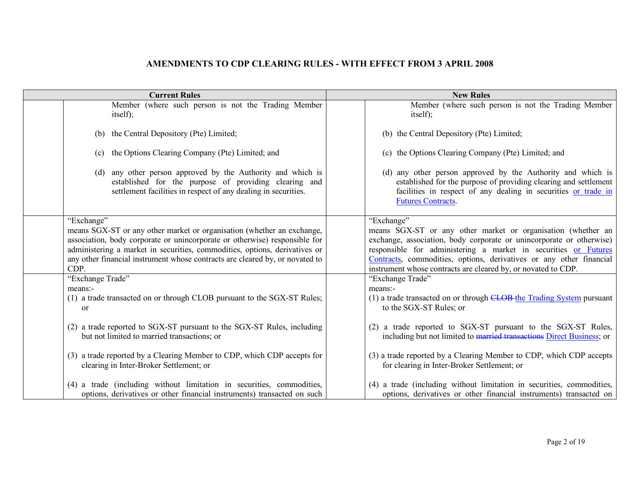| <b>Current Rules</b>                                                                                                                                                                   | <b>New Rules</b>                                                                                                                                                                                                               |  |
|----------------------------------------------------------------------------------------------------------------------------------------------------------------------------------------|--------------------------------------------------------------------------------------------------------------------------------------------------------------------------------------------------------------------------------|--|
| Member (where such person is not the Trading Member                                                                                                                                    | Member (where such person is not the Trading Member                                                                                                                                                                            |  |
| itself);                                                                                                                                                                               | itself);                                                                                                                                                                                                                       |  |
| (b) the Central Depository (Pte) Limited;                                                                                                                                              | (b) the Central Depository (Pte) Limited;                                                                                                                                                                                      |  |
| the Options Clearing Company (Pte) Limited; and<br>(c)                                                                                                                                 | (c) the Options Clearing Company (Pte) Limited; and                                                                                                                                                                            |  |
| (d) any other person approved by the Authority and which is<br>established for the purpose of providing clearing and<br>settlement facilities in respect of any dealing in securities. | (d) any other person approved by the Authority and which is<br>established for the purpose of providing clearing and settlement<br>facilities in respect of any dealing in securities or trade in<br><b>Futures Contracts.</b> |  |
| "Exchange"                                                                                                                                                                             | "Exchange"                                                                                                                                                                                                                     |  |
| means SGX-ST or any other market or organisation (whether an exchange,                                                                                                                 | means SGX-ST or any other market or organisation (whether an                                                                                                                                                                   |  |
| association, body corporate or unincorporate or otherwise) responsible for                                                                                                             | exchange, association, body corporate or unincorporate or otherwise)                                                                                                                                                           |  |
| administering a market in securities, commodities, options, derivatives or                                                                                                             | responsible for administering a market in securities or Futures                                                                                                                                                                |  |
| any other financial instrument whose contracts are cleared by, or novated to                                                                                                           | Contracts, commodities, options, derivatives or any other financial                                                                                                                                                            |  |
| CDP.                                                                                                                                                                                   | instrument whose contracts are cleared by, or novated to CDP.                                                                                                                                                                  |  |
| "Exchange Trade"                                                                                                                                                                       | "Exchange Trade"                                                                                                                                                                                                               |  |
| means:-                                                                                                                                                                                | means:-                                                                                                                                                                                                                        |  |
| (1) a trade transacted on or through CLOB pursuant to the SGX-ST Rules;                                                                                                                | (1) a trade transacted on or through CLOB-the Trading System pursuant                                                                                                                                                          |  |
| <sub>or</sub>                                                                                                                                                                          | to the SGX-ST Rules; or                                                                                                                                                                                                        |  |
| (2) a trade reported to SGX-ST pursuant to the SGX-ST Rules, including                                                                                                                 | (2) a trade reported to SGX-ST pursuant to the SGX-ST Rules,                                                                                                                                                                   |  |
| but not limited to married transactions; or                                                                                                                                            | including but not limited to married transactions Direct Business; or                                                                                                                                                          |  |
| (3) a trade reported by a Clearing Member to CDP, which CDP accepts for                                                                                                                | (3) a trade reported by a Clearing Member to CDP, which CDP accepts                                                                                                                                                            |  |
| clearing in Inter-Broker Settlement; or                                                                                                                                                | for clearing in Inter-Broker Settlement; or                                                                                                                                                                                    |  |
| (4) a trade (including without limitation in securities, commodities,                                                                                                                  | (4) a trade (including without limitation in securities, commodities,                                                                                                                                                          |  |
| options, derivatives or other financial instruments) transacted on such                                                                                                                | options, derivatives or other financial instruments) transacted on                                                                                                                                                             |  |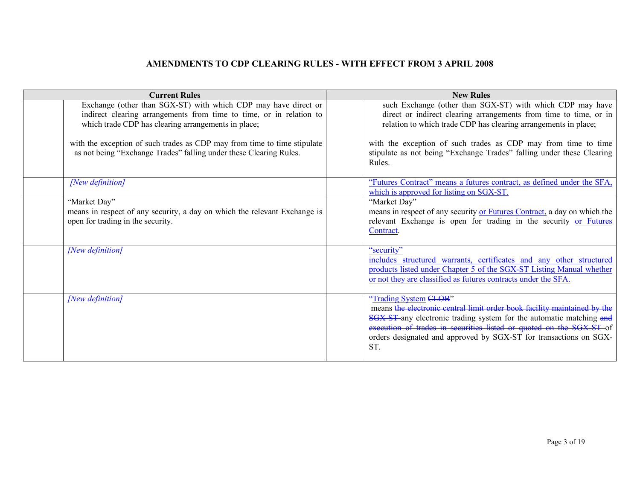| <b>Current Rules</b>                                                                                                                                                                         | <b>New Rules</b>                                                                                                                                                                                                                                                                                                                        |
|----------------------------------------------------------------------------------------------------------------------------------------------------------------------------------------------|-----------------------------------------------------------------------------------------------------------------------------------------------------------------------------------------------------------------------------------------------------------------------------------------------------------------------------------------|
| Exchange (other than SGX-ST) with which CDP may have direct or<br>indirect clearing arrangements from time to time, or in relation to<br>which trade CDP has clearing arrangements in place; | such Exchange (other than SGX-ST) with which CDP may have<br>direct or indirect clearing arrangements from time to time, or in<br>relation to which trade CDP has clearing arrangements in place;                                                                                                                                       |
| with the exception of such trades as CDP may from time to time stipulate<br>as not being "Exchange Trades" falling under these Clearing Rules.                                               | with the exception of such trades as CDP may from time to time<br>stipulate as not being "Exchange Trades" falling under these Clearing<br>Rules.                                                                                                                                                                                       |
| [New definition]                                                                                                                                                                             | "Futures Contract" means a futures contract, as defined under the SFA,<br>which is approved for listing on SGX-ST.                                                                                                                                                                                                                      |
| "Market Day"                                                                                                                                                                                 | "Market Day"                                                                                                                                                                                                                                                                                                                            |
| means in respect of any security, a day on which the relevant Exchange is<br>open for trading in the security.                                                                               | means in respect of any security or Futures Contract, a day on which the<br>relevant Exchange is open for trading in the security or Futures<br>Contract.                                                                                                                                                                               |
| [New definition]                                                                                                                                                                             | "security"<br>includes structured warrants, certificates and any other structured<br>products listed under Chapter 5 of the SGX-ST Listing Manual whether<br>or not they are classified as futures contracts under the SFA.                                                                                                             |
| [New definition]                                                                                                                                                                             | "Trading System <del>CLOB</del> "<br>means the electronic central limit order book facility maintained by the<br>SGX-ST-any electronic trading system for the automatic matching and<br>execution of trades in securities listed or quoted on the SGX-ST of<br>orders designated and approved by SGX-ST for transactions on SGX-<br>ST. |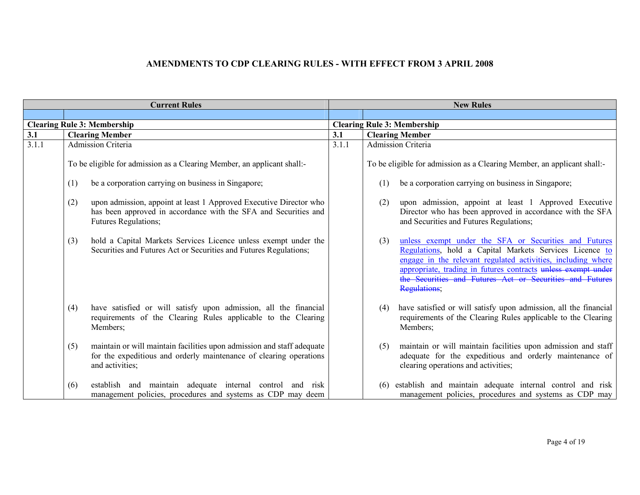| <b>Current Rules</b> |                                                                                                                                                                        | <b>New Rules</b> |                                                                                                                                                                                                                                                                                                                                      |
|----------------------|------------------------------------------------------------------------------------------------------------------------------------------------------------------------|------------------|--------------------------------------------------------------------------------------------------------------------------------------------------------------------------------------------------------------------------------------------------------------------------------------------------------------------------------------|
|                      |                                                                                                                                                                        |                  |                                                                                                                                                                                                                                                                                                                                      |
|                      | <b>Clearing Rule 3: Membership</b>                                                                                                                                     |                  | <b>Clearing Rule 3: Membership</b>                                                                                                                                                                                                                                                                                                   |
| 3.1                  | <b>Clearing Member</b>                                                                                                                                                 | 3.1              | <b>Clearing Member</b>                                                                                                                                                                                                                                                                                                               |
| 3.1.1                | Admission Criteria                                                                                                                                                     | 3.1.1            | Admission Criteria                                                                                                                                                                                                                                                                                                                   |
|                      | To be eligible for admission as a Clearing Member, an applicant shall:                                                                                                 |                  | To be eligible for admission as a Clearing Member, an applicant shall:                                                                                                                                                                                                                                                               |
|                      | be a corporation carrying on business in Singapore;<br>(1)                                                                                                             |                  | be a corporation carrying on business in Singapore;<br>(1)                                                                                                                                                                                                                                                                           |
|                      | upon admission, appoint at least 1 Approved Executive Director who<br>(2)<br>has been approved in accordance with the SFA and Securities and<br>Futures Regulations;   |                  | upon admission, appoint at least 1 Approved Executive<br>(2)<br>Director who has been approved in accordance with the SFA<br>and Securities and Futures Regulations;                                                                                                                                                                 |
|                      | hold a Capital Markets Services Licence unless exempt under the<br>(3)<br>Securities and Futures Act or Securities and Futures Regulations;                            |                  | unless exempt under the SFA or Securities and Futures<br>(3)<br>Regulations, hold a Capital Markets Services Licence to<br>engage in the relevant regulated activities, including where<br>appropriate, trading in futures contracts unless exempt under<br>the Securities and Futures Act or Securities and Futures<br>Regulations, |
|                      | have satisfied or will satisfy upon admission, all the financial<br>(4)<br>requirements of the Clearing Rules applicable to the Clearing<br>Members;                   |                  | have satisfied or will satisfy upon admission, all the financial<br>(4)<br>requirements of the Clearing Rules applicable to the Clearing<br>Members;                                                                                                                                                                                 |
|                      | maintain or will maintain facilities upon admission and staff adequate<br>(5)<br>for the expeditious and orderly maintenance of clearing operations<br>and activities; |                  | maintain or will maintain facilities upon admission and staff<br>(5)<br>adequate for the expeditious and orderly maintenance of<br>clearing operations and activities;                                                                                                                                                               |
|                      | establish and maintain adequate internal control and risk<br>(6)<br>management policies, procedures and systems as CDP may deem                                        |                  | establish and maintain adequate internal control and risk<br>(6)<br>management policies, procedures and systems as CDP may                                                                                                                                                                                                           |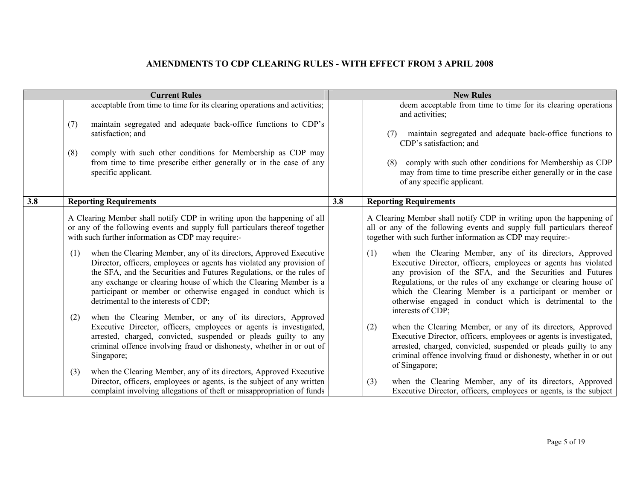| <b>Current Rules</b> |                                                                                                                                                                                                                                                                                                                                                                    |     | <b>New Rules</b>                                                                                                                                                                                                                                                                                                                                   |  |  |
|----------------------|--------------------------------------------------------------------------------------------------------------------------------------------------------------------------------------------------------------------------------------------------------------------------------------------------------------------------------------------------------------------|-----|----------------------------------------------------------------------------------------------------------------------------------------------------------------------------------------------------------------------------------------------------------------------------------------------------------------------------------------------------|--|--|
|                      | acceptable from time to time for its clearing operations and activities;<br>maintain segregated and adequate back-office functions to CDP's<br>(7)<br>satisfaction; and<br>comply with such other conditions for Membership as CDP may<br>(8)<br>from time to time prescribe either generally or in the case of any<br>specific applicant.                         |     | deem acceptable from time to time for its clearing operations<br>and activities;<br>maintain segregated and adequate back-office functions to<br>(7)<br>CDP's satisfaction; and<br>comply with such other conditions for Membership as CDP<br>(8)<br>may from time to time prescribe either generally or in the case<br>of any specific applicant. |  |  |
| 3.8                  | <b>Reporting Requirements</b>                                                                                                                                                                                                                                                                                                                                      | 3.8 | <b>Reporting Requirements</b>                                                                                                                                                                                                                                                                                                                      |  |  |
|                      | A Clearing Member shall notify CDP in writing upon the happening of all<br>or any of the following events and supply full particulars thereof together<br>with such further information as CDP may require:-<br>when the Clearing Member, any of its directors, Approved Executive<br>(1)<br>Director, officers, employees or agents has violated any provision of |     | A Clearing Member shall notify CDP in writing upon the happening of<br>all or any of the following events and supply full particulars thereof<br>together with such further information as CDP may require:-<br>when the Clearing Member, any of its directors, Approved<br>(1)<br>Executive Director, officers, employees or agents has violated  |  |  |
|                      | the SFA, and the Securities and Futures Regulations, or the rules of<br>any exchange or clearing house of which the Clearing Member is a<br>participant or member or otherwise engaged in conduct which is<br>detrimental to the interests of CDP;<br>when the Clearing Member, or any of its directors, Approved<br>(2)                                           |     | any provision of the SFA, and the Securities and Futures<br>Regulations, or the rules of any exchange or clearing house of<br>which the Clearing Member is a participant or member or<br>otherwise engaged in conduct which is detrimental to the<br>interests of CDP;                                                                             |  |  |
|                      | Executive Director, officers, employees or agents is investigated,<br>arrested, charged, convicted, suspended or pleads guilty to any<br>criminal offence involving fraud or dishonesty, whether in or out of<br>Singapore;                                                                                                                                        |     | when the Clearing Member, or any of its directors, Approved<br>(2)<br>Executive Director, officers, employees or agents is investigated,<br>arrested, charged, convicted, suspended or pleads guilty to any<br>criminal offence involving fraud or dishonesty, whether in or out<br>of Singapore;                                                  |  |  |
|                      | when the Clearing Member, any of its directors, Approved Executive<br>(3)<br>Director, officers, employees or agents, is the subject of any written<br>complaint involving allegations of theft or misappropriation of funds                                                                                                                                       |     | when the Clearing Member, any of its directors, Approved<br>(3)<br>Executive Director, officers, employees or agents, is the subject                                                                                                                                                                                                               |  |  |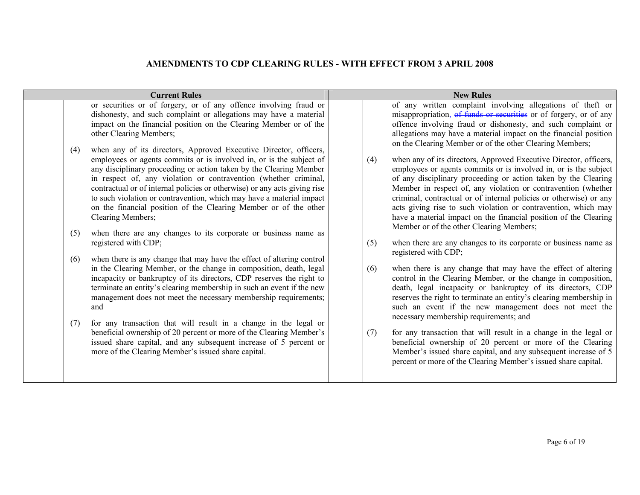| <b>Current Rules</b>     |                                                                                                                                                                                                                                                                                                                                                                                                                                                                                                                                                                                                                                                                                                                                                                                                                                                                                                                                                                                                                                                                                                                                                                                                                                                                                                                                                                                                                                                                                                                        | <b>New Rules</b>         |                                                                                                                                                                                                                                                                                                                                                                                                                                                                                                                                                                                                                                                                                                                                                                                                                                                                                                                                                                                                                                                                                                                                                                                                                                                                                                                                                                                                                                                                                                                                                                                                                 |  |
|--------------------------|------------------------------------------------------------------------------------------------------------------------------------------------------------------------------------------------------------------------------------------------------------------------------------------------------------------------------------------------------------------------------------------------------------------------------------------------------------------------------------------------------------------------------------------------------------------------------------------------------------------------------------------------------------------------------------------------------------------------------------------------------------------------------------------------------------------------------------------------------------------------------------------------------------------------------------------------------------------------------------------------------------------------------------------------------------------------------------------------------------------------------------------------------------------------------------------------------------------------------------------------------------------------------------------------------------------------------------------------------------------------------------------------------------------------------------------------------------------------------------------------------------------------|--------------------------|-----------------------------------------------------------------------------------------------------------------------------------------------------------------------------------------------------------------------------------------------------------------------------------------------------------------------------------------------------------------------------------------------------------------------------------------------------------------------------------------------------------------------------------------------------------------------------------------------------------------------------------------------------------------------------------------------------------------------------------------------------------------------------------------------------------------------------------------------------------------------------------------------------------------------------------------------------------------------------------------------------------------------------------------------------------------------------------------------------------------------------------------------------------------------------------------------------------------------------------------------------------------------------------------------------------------------------------------------------------------------------------------------------------------------------------------------------------------------------------------------------------------------------------------------------------------------------------------------------------------|--|
| (4)<br>(5)<br>(6)<br>(7) | or securities or of forgery, or of any offence involving fraud or<br>dishonesty, and such complaint or allegations may have a material<br>impact on the financial position on the Clearing Member or of the<br>other Clearing Members;<br>when any of its directors, Approved Executive Director, officers,<br>employees or agents commits or is involved in, or is the subject of<br>any disciplinary proceeding or action taken by the Clearing Member<br>in respect of, any violation or contravention (whether criminal,<br>contractual or of internal policies or otherwise) or any acts giving rise<br>to such violation or contravention, which may have a material impact<br>on the financial position of the Clearing Member or of the other<br>Clearing Members;<br>when there are any changes to its corporate or business name as<br>registered with CDP;<br>when there is any change that may have the effect of altering control<br>in the Clearing Member, or the change in composition, death, legal<br>incapacity or bankruptcy of its directors, CDP reserves the right to<br>terminate an entity's clearing membership in such an event if the new<br>management does not meet the necessary membership requirements;<br>and<br>for any transaction that will result in a change in the legal or<br>beneficial ownership of 20 percent or more of the Clearing Member's<br>issued share capital, and any subsequent increase of 5 percent or<br>more of the Clearing Member's issued share capital. | (4)<br>(5)<br>(6)<br>(7) | of any written complaint involving allegations of theft or<br>misappropriation, of funds or securities or of forgery, or of any<br>offence involving fraud or dishonesty, and such complaint or<br>allegations may have a material impact on the financial position<br>on the Clearing Member or of the other Clearing Members;<br>when any of its directors, Approved Executive Director, officers,<br>employees or agents commits or is involved in, or is the subject<br>of any disciplinary proceeding or action taken by the Clearing<br>Member in respect of, any violation or contravention (whether<br>criminal, contractual or of internal policies or otherwise) or any<br>acts giving rise to such violation or contravention, which may<br>have a material impact on the financial position of the Clearing<br>Member or of the other Clearing Members;<br>when there are any changes to its corporate or business name as<br>registered with CDP;<br>when there is any change that may have the effect of altering<br>control in the Clearing Member, or the change in composition,<br>death, legal incapacity or bankruptcy of its directors, CDP<br>reserves the right to terminate an entity's clearing membership in<br>such an event if the new management does not meet the<br>necessary membership requirements; and<br>for any transaction that will result in a change in the legal or<br>beneficial ownership of 20 percent or more of the Clearing<br>Member's issued share capital, and any subsequent increase of 5<br>percent or more of the Clearing Member's issued share capital. |  |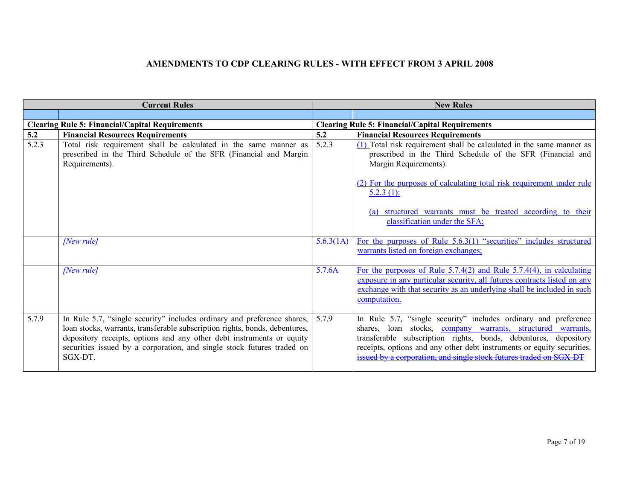| <b>Current Rules</b> |                                                                                                                                                                                                                                                                                                                      | <b>New Rules</b> |                                                                                                                                                                                                                                                                                                                                                   |
|----------------------|----------------------------------------------------------------------------------------------------------------------------------------------------------------------------------------------------------------------------------------------------------------------------------------------------------------------|------------------|---------------------------------------------------------------------------------------------------------------------------------------------------------------------------------------------------------------------------------------------------------------------------------------------------------------------------------------------------|
|                      |                                                                                                                                                                                                                                                                                                                      |                  |                                                                                                                                                                                                                                                                                                                                                   |
|                      | <b>Clearing Rule 5: Financial/Capital Requirements</b>                                                                                                                                                                                                                                                               |                  | <b>Clearing Rule 5: Financial/Capital Requirements</b>                                                                                                                                                                                                                                                                                            |
| 5.2                  | <b>Financial Resources Requirements</b>                                                                                                                                                                                                                                                                              | 5.2              | <b>Financial Resources Requirements</b>                                                                                                                                                                                                                                                                                                           |
| 5.2.3                | Total risk requirement shall be calculated in the same manner as<br>prescribed in the Third Schedule of the SFR (Financial and Margin<br>Requirements).                                                                                                                                                              | 5.2.3            | $(1)$ Total risk requirement shall be calculated in the same manner as<br>prescribed in the Third Schedule of the SFR (Financial and<br>Margin Requirements).                                                                                                                                                                                     |
|                      |                                                                                                                                                                                                                                                                                                                      |                  | (2) For the purposes of calculating total risk requirement under rule<br>$5.2.3(1)$ :                                                                                                                                                                                                                                                             |
|                      |                                                                                                                                                                                                                                                                                                                      |                  | (a) structured warrants must be treated according to their<br>classification under the SFA;                                                                                                                                                                                                                                                       |
|                      | [New rule]                                                                                                                                                                                                                                                                                                           | 5.6.3(1A)        | For the purposes of Rule 5.6.3(1) "securities" includes structured<br>warrants listed on foreign exchanges;                                                                                                                                                                                                                                       |
|                      | [New rule]                                                                                                                                                                                                                                                                                                           | 5.7.6A           | For the purposes of Rule $5.7.4(2)$ and Rule $5.7.4(4)$ , in calculating<br>exposure in any particular security, all futures contracts listed on any<br>exchange with that security as an underlying shall be included in such<br>computation.                                                                                                    |
| 5.7.9                | In Rule 5.7, "single security" includes ordinary and preference shares,<br>loan stocks, warrants, transferable subscription rights, bonds, debentures,<br>depository receipts, options and any other debt instruments or equity<br>securities issued by a corporation, and single stock futures traded on<br>SGX-DT. | 5.7.9            | In Rule 5.7, "single security" includes ordinary and preference<br>shares, loan stocks, company warrants, structured warrants,<br>transferable subscription rights, bonds, debentures, depository<br>receipts, options and any other debt instruments or equity securities.<br>issued by a corporation, and single stock futures traded on SGX-DT |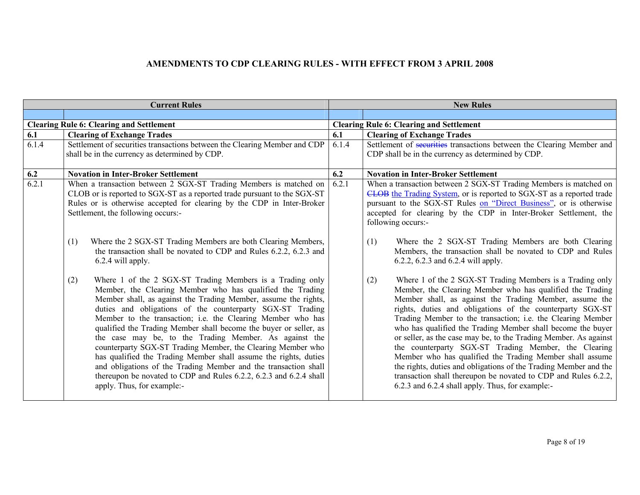| <b>Current Rules</b> |                                                                                                                                                                                                                                                                                                                                                                                                                                                                                                                                                                                                                                                                                                                                                                                                                                                                                                            | <b>New Rules</b> |                                                                                                                                                                                                                                                                                                                                                                                                                                                                                                                                                                                                                                                                                                                                                                                                                                                                                      |
|----------------------|------------------------------------------------------------------------------------------------------------------------------------------------------------------------------------------------------------------------------------------------------------------------------------------------------------------------------------------------------------------------------------------------------------------------------------------------------------------------------------------------------------------------------------------------------------------------------------------------------------------------------------------------------------------------------------------------------------------------------------------------------------------------------------------------------------------------------------------------------------------------------------------------------------|------------------|--------------------------------------------------------------------------------------------------------------------------------------------------------------------------------------------------------------------------------------------------------------------------------------------------------------------------------------------------------------------------------------------------------------------------------------------------------------------------------------------------------------------------------------------------------------------------------------------------------------------------------------------------------------------------------------------------------------------------------------------------------------------------------------------------------------------------------------------------------------------------------------|
|                      |                                                                                                                                                                                                                                                                                                                                                                                                                                                                                                                                                                                                                                                                                                                                                                                                                                                                                                            |                  |                                                                                                                                                                                                                                                                                                                                                                                                                                                                                                                                                                                                                                                                                                                                                                                                                                                                                      |
|                      | <b>Clearing Rule 6: Clearing and Settlement</b>                                                                                                                                                                                                                                                                                                                                                                                                                                                                                                                                                                                                                                                                                                                                                                                                                                                            |                  | <b>Clearing Rule 6: Clearing and Settlement</b>                                                                                                                                                                                                                                                                                                                                                                                                                                                                                                                                                                                                                                                                                                                                                                                                                                      |
| 6.1                  | <b>Clearing of Exchange Trades</b>                                                                                                                                                                                                                                                                                                                                                                                                                                                                                                                                                                                                                                                                                                                                                                                                                                                                         | 6.1              | <b>Clearing of Exchange Trades</b>                                                                                                                                                                                                                                                                                                                                                                                                                                                                                                                                                                                                                                                                                                                                                                                                                                                   |
| 6.1.4                | Settlement of securities transactions between the Clearing Member and CDP                                                                                                                                                                                                                                                                                                                                                                                                                                                                                                                                                                                                                                                                                                                                                                                                                                  | 6.1.4            | Settlement of securities transactions between the Clearing Member and                                                                                                                                                                                                                                                                                                                                                                                                                                                                                                                                                                                                                                                                                                                                                                                                                |
|                      | shall be in the currency as determined by CDP.                                                                                                                                                                                                                                                                                                                                                                                                                                                                                                                                                                                                                                                                                                                                                                                                                                                             |                  | CDP shall be in the currency as determined by CDP.                                                                                                                                                                                                                                                                                                                                                                                                                                                                                                                                                                                                                                                                                                                                                                                                                                   |
|                      |                                                                                                                                                                                                                                                                                                                                                                                                                                                                                                                                                                                                                                                                                                                                                                                                                                                                                                            |                  |                                                                                                                                                                                                                                                                                                                                                                                                                                                                                                                                                                                                                                                                                                                                                                                                                                                                                      |
| 6.2                  | <b>Novation in Inter-Broker Settlement</b>                                                                                                                                                                                                                                                                                                                                                                                                                                                                                                                                                                                                                                                                                                                                                                                                                                                                 | 6.2              | <b>Novation in Inter-Broker Settlement</b>                                                                                                                                                                                                                                                                                                                                                                                                                                                                                                                                                                                                                                                                                                                                                                                                                                           |
| 6.2.1                | When a transaction between 2 SGX-ST Trading Members is matched on                                                                                                                                                                                                                                                                                                                                                                                                                                                                                                                                                                                                                                                                                                                                                                                                                                          | 6.2.1            | When a transaction between 2 SGX-ST Trading Members is matched on                                                                                                                                                                                                                                                                                                                                                                                                                                                                                                                                                                                                                                                                                                                                                                                                                    |
|                      | CLOB or is reported to SGX-ST as a reported trade pursuant to the SGX-ST                                                                                                                                                                                                                                                                                                                                                                                                                                                                                                                                                                                                                                                                                                                                                                                                                                   |                  | CLOB the Trading System, or is reported to SGX-ST as a reported trade                                                                                                                                                                                                                                                                                                                                                                                                                                                                                                                                                                                                                                                                                                                                                                                                                |
|                      | Rules or is otherwise accepted for clearing by the CDP in Inter-Broker                                                                                                                                                                                                                                                                                                                                                                                                                                                                                                                                                                                                                                                                                                                                                                                                                                     |                  | pursuant to the SGX-ST Rules on "Direct Business", or is otherwise                                                                                                                                                                                                                                                                                                                                                                                                                                                                                                                                                                                                                                                                                                                                                                                                                   |
|                      | Settlement, the following occurs:-                                                                                                                                                                                                                                                                                                                                                                                                                                                                                                                                                                                                                                                                                                                                                                                                                                                                         |                  | accepted for clearing by the CDP in Inter-Broker Settlement, the                                                                                                                                                                                                                                                                                                                                                                                                                                                                                                                                                                                                                                                                                                                                                                                                                     |
|                      |                                                                                                                                                                                                                                                                                                                                                                                                                                                                                                                                                                                                                                                                                                                                                                                                                                                                                                            |                  | following occurs:-                                                                                                                                                                                                                                                                                                                                                                                                                                                                                                                                                                                                                                                                                                                                                                                                                                                                   |
|                      | Where the 2 SGX-ST Trading Members are both Clearing Members,<br>(1)<br>the transaction shall be novated to CDP and Rules 6.2.2, 6.2.3 and<br>6.2.4 will apply.<br>Where 1 of the 2 SGX-ST Trading Members is a Trading only<br>(2)<br>Member, the Clearing Member who has qualified the Trading<br>Member shall, as against the Trading Member, assume the rights,<br>duties and obligations of the counterparty SGX-ST Trading<br>Member to the transaction; i.e. the Clearing Member who has<br>qualified the Trading Member shall become the buyer or seller, as<br>the case may be, to the Trading Member. As against the<br>counterparty SGX-ST Trading Member, the Clearing Member who<br>has qualified the Trading Member shall assume the rights, duties<br>and obligations of the Trading Member and the transaction shall<br>thereupon be novated to CDP and Rules 6.2.2, 6.2.3 and 6.2.4 shall |                  | Where the 2 SGX-ST Trading Members are both Clearing<br>(1)<br>Members, the transaction shall be novated to CDP and Rules<br>6.2.2, 6.2.3 and 6.2.4 will apply.<br>Where 1 of the 2 SGX-ST Trading Members is a Trading only<br>(2)<br>Member, the Clearing Member who has qualified the Trading<br>Member shall, as against the Trading Member, assume the<br>rights, duties and obligations of the counterparty SGX-ST<br>Trading Member to the transaction; i.e. the Clearing Member<br>who has qualified the Trading Member shall become the buyer<br>or seller, as the case may be, to the Trading Member. As against<br>the counterparty SGX-ST Trading Member, the Clearing<br>Member who has qualified the Trading Member shall assume<br>the rights, duties and obligations of the Trading Member and the<br>transaction shall thereupon be novated to CDP and Rules 6.2.2, |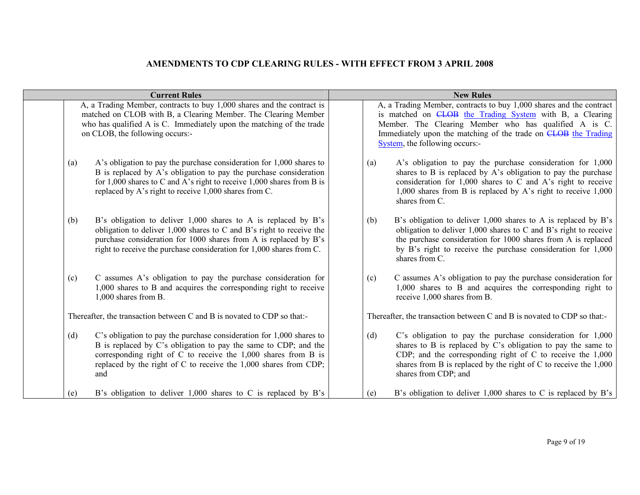| <b>Current Rules</b> |                                                                                                                                                                                                                                                                                        | <b>New Rules</b> |     |                                                                                                                                                                                                                                                                                                     |
|----------------------|----------------------------------------------------------------------------------------------------------------------------------------------------------------------------------------------------------------------------------------------------------------------------------------|------------------|-----|-----------------------------------------------------------------------------------------------------------------------------------------------------------------------------------------------------------------------------------------------------------------------------------------------------|
|                      | A, a Trading Member, contracts to buy 1,000 shares and the contract is<br>matched on CLOB with B, a Clearing Member. The Clearing Member<br>who has qualified A is C. Immediately upon the matching of the trade<br>on CLOB, the following occurs:-                                    |                  |     | A, a Trading Member, contracts to buy 1,000 shares and the contract<br>is matched on <b>CLOB</b> the Trading System with B, a Clearing<br>Member. The Clearing Member who has qualified A is C.<br>Immediately upon the matching of the trade on CLOB the Trading<br>System, the following occurs:- |
| (a)                  | A's obligation to pay the purchase consideration for 1,000 shares to<br>B is replaced by A's obligation to pay the purchase consideration<br>for 1,000 shares to C and A's right to receive 1,000 shares from B is<br>replaced by A's right to receive 1,000 shares from C.            |                  | (a) | A's obligation to pay the purchase consideration for 1,000<br>shares to B is replaced by A's obligation to pay the purchase<br>consideration for 1,000 shares to C and A's right to receive<br>1,000 shares from B is replaced by A's right to receive $1,000$<br>shares from C.                    |
| (b)                  | B's obligation to deliver 1,000 shares to A is replaced by B's<br>obligation to deliver $1,000$ shares to C and B's right to receive the<br>purchase consideration for 1000 shares from A is replaced by B's<br>right to receive the purchase consideration for 1,000 shares from C.   |                  | (b) | B's obligation to deliver 1,000 shares to A is replaced by B's<br>obligation to deliver $1,000$ shares to C and B's right to receive<br>the purchase consideration for 1000 shares from A is replaced<br>by B's right to receive the purchase consideration for 1,000<br>shares from C.             |
| (c)                  | C assumes A's obligation to pay the purchase consideration for<br>1,000 shares to B and acquires the corresponding right to receive<br>1,000 shares from B.                                                                                                                            |                  | (c) | C assumes A's obligation to pay the purchase consideration for<br>1,000 shares to B and acquires the corresponding right to<br>receive 1,000 shares from B.                                                                                                                                         |
|                      | Thereafter, the transaction between C and B is novated to CDP so that:-                                                                                                                                                                                                                |                  |     | Thereafter, the transaction between C and B is novated to CDP so that:-                                                                                                                                                                                                                             |
| (d)                  | C's obligation to pay the purchase consideration for $1,000$ shares to<br>B is replaced by C's obligation to pay the same to CDP; and the<br>corresponding right of C to receive the 1,000 shares from B is<br>replaced by the right of C to receive the 1,000 shares from CDP;<br>and |                  | (d) | C's obligation to pay the purchase consideration for 1,000<br>shares to B is replaced by C's obligation to pay the same to<br>CDP; and the corresponding right of $C$ to receive the $1,000$<br>shares from B is replaced by the right of C to receive the $1,000$<br>shares from CDP; and          |
| (e)                  | B's obligation to deliver $1,000$ shares to C is replaced by B's                                                                                                                                                                                                                       |                  | (e) | B's obligation to deliver $1,000$ shares to C is replaced by B's                                                                                                                                                                                                                                    |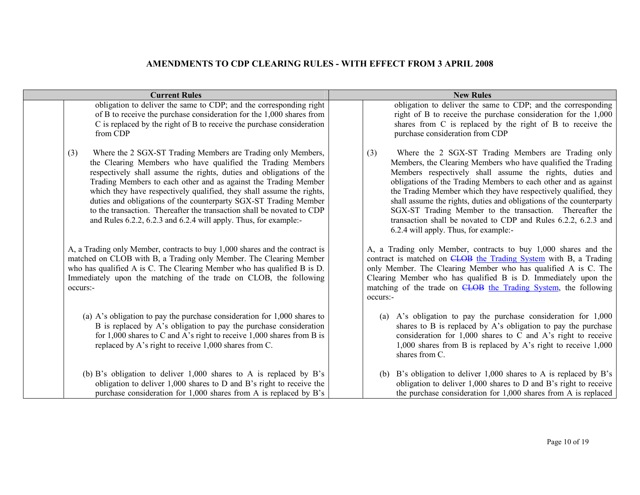| <b>Current Rules</b>                                                                                                                                                                                                                                                                                                                                                                                                                                                                                                                                                    | <b>New Rules</b>                                                                                                                                                                                                                                                                                                                                                                                                                                                                                                                                                           |  |  |
|-------------------------------------------------------------------------------------------------------------------------------------------------------------------------------------------------------------------------------------------------------------------------------------------------------------------------------------------------------------------------------------------------------------------------------------------------------------------------------------------------------------------------------------------------------------------------|----------------------------------------------------------------------------------------------------------------------------------------------------------------------------------------------------------------------------------------------------------------------------------------------------------------------------------------------------------------------------------------------------------------------------------------------------------------------------------------------------------------------------------------------------------------------------|--|--|
| obligation to deliver the same to CDP; and the corresponding right<br>of B to receive the purchase consideration for the 1,000 shares from<br>C is replaced by the right of B to receive the purchase consideration<br>from CDP                                                                                                                                                                                                                                                                                                                                         | obligation to deliver the same to CDP; and the corresponding<br>right of B to receive the purchase consideration for the 1,000<br>shares from C is replaced by the right of B to receive the<br>purchase consideration from CDP                                                                                                                                                                                                                                                                                                                                            |  |  |
| Where the 2 SGX-ST Trading Members are Trading only Members,<br>(3)<br>the Clearing Members who have qualified the Trading Members<br>respectively shall assume the rights, duties and obligations of the<br>Trading Members to each other and as against the Trading Member<br>which they have respectively qualified, they shall assume the rights,<br>duties and obligations of the counterparty SGX-ST Trading Member<br>to the transaction. Thereafter the transaction shall be novated to CDP<br>and Rules 6.2.2, 6.2.3 and 6.2.4 will apply. Thus, for example:- | Where the 2 SGX-ST Trading Members are Trading only<br>(3)<br>Members, the Clearing Members who have qualified the Trading<br>Members respectively shall assume the rights, duties and<br>obligations of the Trading Members to each other and as against<br>the Trading Member which they have respectively qualified, they<br>shall assume the rights, duties and obligations of the counterparty<br>SGX-ST Trading Member to the transaction. Thereafter the<br>transaction shall be novated to CDP and Rules 6.2.2, 6.2.3 and<br>6.2.4 will apply. Thus, for example:- |  |  |
| A, a Trading only Member, contracts to buy 1,000 shares and the contract is<br>matched on CLOB with B, a Trading only Member. The Clearing Member<br>who has qualified A is C. The Clearing Member who has qualified B is D.<br>Immediately upon the matching of the trade on CLOB, the following<br>occurs:-                                                                                                                                                                                                                                                           | A, a Trading only Member, contracts to buy 1,000 shares and the<br>contract is matched on CLOB the Trading System with B, a Trading<br>only Member. The Clearing Member who has qualified A is C. The<br>Clearing Member who has qualified B is D. Immediately upon the<br>matching of the trade on CLOB the Trading System, the following<br>occurs:-                                                                                                                                                                                                                     |  |  |
| (a) A's obligation to pay the purchase consideration for $1,000$ shares to<br>B is replaced by A's obligation to pay the purchase consideration<br>for 1,000 shares to C and A's right to receive 1,000 shares from B is<br>replaced by A's right to receive 1,000 shares from C.                                                                                                                                                                                                                                                                                       | A's obligation to pay the purchase consideration for 1,000<br>(a)<br>shares to B is replaced by A's obligation to pay the purchase<br>consideration for 1,000 shares to C and A's right to receive<br>1,000 shares from B is replaced by A's right to receive 1,000<br>shares from C.                                                                                                                                                                                                                                                                                      |  |  |
| (b) B's obligation to deliver $1,000$ shares to A is replaced by B's<br>obligation to deliver 1,000 shares to D and B's right to receive the<br>purchase consideration for 1,000 shares from A is replaced by B's                                                                                                                                                                                                                                                                                                                                                       | B's obligation to deliver 1,000 shares to A is replaced by B's<br>(b)<br>obligation to deliver 1,000 shares to D and B's right to receive<br>the purchase consideration for 1,000 shares from A is replaced                                                                                                                                                                                                                                                                                                                                                                |  |  |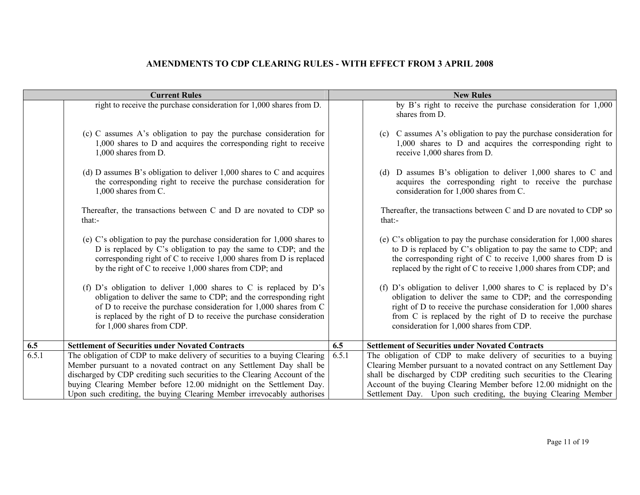| right to receive the purchase consideration for 1,000 shares from D.<br>shares from D.<br>(c) C assumes A's obligation to pay the purchase consideration for<br>(c)<br>1,000 shares to D and acquires the corresponding right to receive<br>1,000 shares from D.<br>receive 1,000 shares from D.<br>(d) D assumes B's obligation to deliver $1,000$ shares to C and acquires<br>(d)<br>the corresponding right to receive the purchase consideration for<br>$1,000$ shares from C.<br>consideration for 1,000 shares from C.<br>Thereafter, the transactions between C and D are novated to CDP so<br>that:<br>that:<br>(e) C's obligation to pay the purchase consideration for $1,000$ shares to<br>D is replaced by C's obligation to pay the same to CDP; and the<br>corresponding right of $C$ to receive 1,000 shares from $D$ is replaced<br>by the right of C to receive 1,000 shares from CDP; and<br>(f) D's obligation to deliver $1,000$ shares to C is replaced by D's<br>obligation to deliver the same to CDP; and the corresponding right<br>of D to receive the purchase consideration for 1,000 shares from C<br>is replaced by the right of D to receive the purchase consideration<br>for 1,000 shares from CDP.<br>consideration for 1,000 shares from CDP.<br>6.5<br><b>Settlement of Securities under Novated Contracts</b><br><b>Settlement of Securities under Novated Contracts</b><br>6.5<br>6.5.1<br>6.5.1<br>The obligation of CDP to make delivery of securities to a buying Clearing | <b>Current Rules</b> | <b>New Rules</b> |                                                                                                                                                                                                                                                                                                                                                           |  |
|---------------------------------------------------------------------------------------------------------------------------------------------------------------------------------------------------------------------------------------------------------------------------------------------------------------------------------------------------------------------------------------------------------------------------------------------------------------------------------------------------------------------------------------------------------------------------------------------------------------------------------------------------------------------------------------------------------------------------------------------------------------------------------------------------------------------------------------------------------------------------------------------------------------------------------------------------------------------------------------------------------------------------------------------------------------------------------------------------------------------------------------------------------------------------------------------------------------------------------------------------------------------------------------------------------------------------------------------------------------------------------------------------------------------------------------------------------------------------------------------------------------------|----------------------|------------------|-----------------------------------------------------------------------------------------------------------------------------------------------------------------------------------------------------------------------------------------------------------------------------------------------------------------------------------------------------------|--|
|                                                                                                                                                                                                                                                                                                                                                                                                                                                                                                                                                                                                                                                                                                                                                                                                                                                                                                                                                                                                                                                                                                                                                                                                                                                                                                                                                                                                                                                                                                                     |                      |                  | by B's right to receive the purchase consideration for 1,000                                                                                                                                                                                                                                                                                              |  |
|                                                                                                                                                                                                                                                                                                                                                                                                                                                                                                                                                                                                                                                                                                                                                                                                                                                                                                                                                                                                                                                                                                                                                                                                                                                                                                                                                                                                                                                                                                                     |                      |                  | C assumes A's obligation to pay the purchase consideration for<br>$1,000$ shares to D and acquires the corresponding right to                                                                                                                                                                                                                             |  |
|                                                                                                                                                                                                                                                                                                                                                                                                                                                                                                                                                                                                                                                                                                                                                                                                                                                                                                                                                                                                                                                                                                                                                                                                                                                                                                                                                                                                                                                                                                                     |                      |                  | D assumes B's obligation to deliver 1,000 shares to C and<br>acquires the corresponding right to receive the purchase                                                                                                                                                                                                                                     |  |
|                                                                                                                                                                                                                                                                                                                                                                                                                                                                                                                                                                                                                                                                                                                                                                                                                                                                                                                                                                                                                                                                                                                                                                                                                                                                                                                                                                                                                                                                                                                     |                      |                  | Thereafter, the transactions between C and D are novated to CDP so                                                                                                                                                                                                                                                                                        |  |
|                                                                                                                                                                                                                                                                                                                                                                                                                                                                                                                                                                                                                                                                                                                                                                                                                                                                                                                                                                                                                                                                                                                                                                                                                                                                                                                                                                                                                                                                                                                     |                      |                  | (e) C's obligation to pay the purchase consideration for $1,000$ shares<br>to D is replaced by C's obligation to pay the same to CDP; and<br>the corresponding right of $C$ to receive 1,000 shares from $D$ is<br>replaced by the right of C to receive 1,000 shares from CDP; and                                                                       |  |
|                                                                                                                                                                                                                                                                                                                                                                                                                                                                                                                                                                                                                                                                                                                                                                                                                                                                                                                                                                                                                                                                                                                                                                                                                                                                                                                                                                                                                                                                                                                     |                      |                  | (f) D's obligation to deliver $1,000$ shares to C is replaced by D's<br>obligation to deliver the same to CDP; and the corresponding<br>right of D to receive the purchase consideration for 1,000 shares<br>from C is replaced by the right of D to receive the purchase                                                                                 |  |
|                                                                                                                                                                                                                                                                                                                                                                                                                                                                                                                                                                                                                                                                                                                                                                                                                                                                                                                                                                                                                                                                                                                                                                                                                                                                                                                                                                                                                                                                                                                     |                      |                  |                                                                                                                                                                                                                                                                                                                                                           |  |
| Member pursuant to a novated contract on any Settlement Day shall be<br>discharged by CDP crediting such securities to the Clearing Account of the<br>buying Clearing Member before 12.00 midnight on the Settlement Day.<br>Upon such crediting, the buying Clearing Member irrevocably authorises                                                                                                                                                                                                                                                                                                                                                                                                                                                                                                                                                                                                                                                                                                                                                                                                                                                                                                                                                                                                                                                                                                                                                                                                                 |                      |                  | The obligation of CDP to make delivery of securities to a buying<br>Clearing Member pursuant to a novated contract on any Settlement Day<br>shall be discharged by CDP crediting such securities to the Clearing<br>Account of the buying Clearing Member before 12.00 midnight on the<br>Settlement Day. Upon such crediting, the buying Clearing Member |  |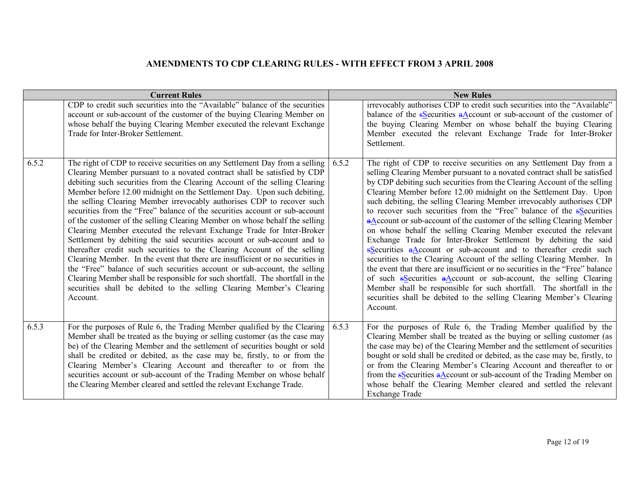|       | <b>Current Rules</b>                                                                                                                                                                                                                                                                                                                                                                                                                                                                                                                                                                                                                                                                                                                                                                                                                                                                                                                                                                                                                                                                                                         |       | <b>New Rules</b>                                                                                                                                                                                                                                                                                                                                                                                                                                                                                                                                                                                                                                                                                                                                                                                                                                                                                                                                                                                                                                                                                                                                     |
|-------|------------------------------------------------------------------------------------------------------------------------------------------------------------------------------------------------------------------------------------------------------------------------------------------------------------------------------------------------------------------------------------------------------------------------------------------------------------------------------------------------------------------------------------------------------------------------------------------------------------------------------------------------------------------------------------------------------------------------------------------------------------------------------------------------------------------------------------------------------------------------------------------------------------------------------------------------------------------------------------------------------------------------------------------------------------------------------------------------------------------------------|-------|------------------------------------------------------------------------------------------------------------------------------------------------------------------------------------------------------------------------------------------------------------------------------------------------------------------------------------------------------------------------------------------------------------------------------------------------------------------------------------------------------------------------------------------------------------------------------------------------------------------------------------------------------------------------------------------------------------------------------------------------------------------------------------------------------------------------------------------------------------------------------------------------------------------------------------------------------------------------------------------------------------------------------------------------------------------------------------------------------------------------------------------------------|
|       | CDP to credit such securities into the "Available" balance of the securities<br>account or sub-account of the customer of the buying Clearing Member on<br>whose behalf the buying Clearing Member executed the relevant Exchange<br>Trade for Inter-Broker Settlement.                                                                                                                                                                                                                                                                                                                                                                                                                                                                                                                                                                                                                                                                                                                                                                                                                                                      |       | irrevocably authorises CDP to credit such securities into the "Available"<br>balance of the $s$ Securities $a$ Account or sub-account of the customer of<br>the buying Clearing Member on whose behalf the buying Clearing<br>Member executed the relevant Exchange Trade for Inter-Broker<br>Settlement.                                                                                                                                                                                                                                                                                                                                                                                                                                                                                                                                                                                                                                                                                                                                                                                                                                            |
| 6.5.2 | The right of CDP to receive securities on any Settlement Day from a selling<br>Clearing Member pursuant to a novated contract shall be satisfied by CDP<br>debiting such securities from the Clearing Account of the selling Clearing<br>Member before 12.00 midnight on the Settlement Day. Upon such debiting,<br>the selling Clearing Member irrevocably authorises CDP to recover such<br>securities from the "Free" balance of the securities account or sub-account<br>of the customer of the selling Clearing Member on whose behalf the selling<br>Clearing Member executed the relevant Exchange Trade for Inter-Broker<br>Settlement by debiting the said securities account or sub-account and to<br>thereafter credit such securities to the Clearing Account of the selling<br>Clearing Member. In the event that there are insufficient or no securities in<br>the "Free" balance of such securities account or sub-account, the selling<br>Clearing Member shall be responsible for such shortfall. The shortfall in the<br>securities shall be debited to the selling Clearing Member's Clearing<br>Account. | 6.5.2 | The right of CDP to receive securities on any Settlement Day from a<br>selling Clearing Member pursuant to a novated contract shall be satisfied<br>by CDP debiting such securities from the Clearing Account of the selling<br>Clearing Member before 12.00 midnight on the Settlement Day. Upon<br>such debiting, the selling Clearing Member irrevocably authorises CDP<br>to recover such securities from the "Free" balance of the <b>s</b> Securities<br>a Account or sub-account of the customer of the selling Clearing Member<br>on whose behalf the selling Clearing Member executed the relevant<br>Exchange Trade for Inter-Broker Settlement by debiting the said<br>sSecurities aAccount or sub-account and to thereafter credit such<br>securities to the Clearing Account of the selling Clearing Member. In<br>the event that there are insufficient or no securities in the "Free" balance<br>of such $s$ Securities $a$ Account or sub-account, the selling Clearing<br>Member shall be responsible for such shortfall. The shortfall in the<br>securities shall be debited to the selling Clearing Member's Clearing<br>Account. |
| 6.5.3 | For the purposes of Rule 6, the Trading Member qualified by the Clearing<br>Member shall be treated as the buying or selling customer (as the case may<br>be) of the Clearing Member and the settlement of securities bought or sold<br>shall be credited or debited, as the case may be, firstly, to or from the<br>Clearing Member's Clearing Account and thereafter to or from the<br>securities account or sub-account of the Trading Member on whose behalf<br>the Clearing Member cleared and settled the relevant Exchange Trade.                                                                                                                                                                                                                                                                                                                                                                                                                                                                                                                                                                                     | 6.5.3 | For the purposes of Rule 6, the Trading Member qualified by the<br>Clearing Member shall be treated as the buying or selling customer (as<br>the case may be) of the Clearing Member and the settlement of securities<br>bought or sold shall be credited or debited, as the case may be, firstly, to<br>or from the Clearing Member's Clearing Account and thereafter to or<br>from the $s$ Securities $a\Delta$ ccount or sub-account of the Trading Member on<br>whose behalf the Clearing Member cleared and settled the relevant<br><b>Exchange Trade</b>                                                                                                                                                                                                                                                                                                                                                                                                                                                                                                                                                                                       |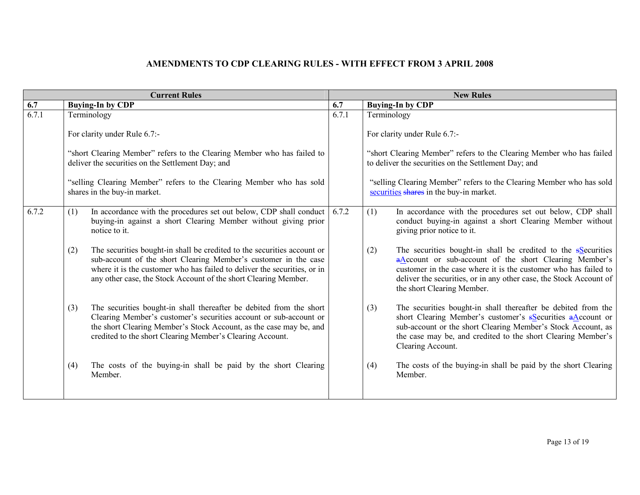|       |     | <b>Current Rules</b>                                                                                                                                                                                                                                                                      | <b>New Rules</b> |             |                                                                                                                                                                                                                                                                                                   |
|-------|-----|-------------------------------------------------------------------------------------------------------------------------------------------------------------------------------------------------------------------------------------------------------------------------------------------|------------------|-------------|---------------------------------------------------------------------------------------------------------------------------------------------------------------------------------------------------------------------------------------------------------------------------------------------------|
| 6.7   |     | <b>Buying-In by CDP</b>                                                                                                                                                                                                                                                                   | 6.7              |             | <b>Buying-In by CDP</b>                                                                                                                                                                                                                                                                           |
| 6.7.1 |     | Terminology                                                                                                                                                                                                                                                                               | 6.7.1            | Terminology |                                                                                                                                                                                                                                                                                                   |
|       |     | For clarity under Rule 6.7:-                                                                                                                                                                                                                                                              |                  |             | For clarity under Rule 6.7:-                                                                                                                                                                                                                                                                      |
|       |     | "short Clearing Member" refers to the Clearing Member who has failed to<br>deliver the securities on the Settlement Day; and                                                                                                                                                              |                  |             | "short Clearing Member" refers to the Clearing Member who has failed<br>to deliver the securities on the Settlement Day; and                                                                                                                                                                      |
|       |     | "selling Clearing Member" refers to the Clearing Member who has sold<br>shares in the buy-in market.                                                                                                                                                                                      |                  |             | "selling Clearing Member" refers to the Clearing Member who has sold<br>securities shares in the buy-in market.                                                                                                                                                                                   |
| 6.7.2 | (1) | In accordance with the procedures set out below, CDP shall conduct<br>buying-in against a short Clearing Member without giving prior<br>notice to it.                                                                                                                                     | 6.7.2            | (1)         | In accordance with the procedures set out below, CDP shall<br>conduct buying-in against a short Clearing Member without<br>giving prior notice to it.                                                                                                                                             |
|       | (2) | The securities bought-in shall be credited to the securities account or<br>sub-account of the short Clearing Member's customer in the case<br>where it is the customer who has failed to deliver the securities, or in<br>any other case, the Stock Account of the short Clearing Member. |                  | (2)         | The securities bought-in shall be credited to the $s$ Securities<br>aAccount or sub-account of the short Clearing Member's<br>customer in the case where it is the customer who has failed to<br>deliver the securities, or in any other case, the Stock Account of<br>the short Clearing Member. |
|       | (3) | The securities bought-in shall thereafter be debited from the short<br>Clearing Member's customer's securities account or sub-account or<br>the short Clearing Member's Stock Account, as the case may be, and<br>credited to the short Clearing Member's Clearing Account.               |                  | (3)         | The securities bought-in shall thereafter be debited from the<br>short Clearing Member's customer's sSecurities aAccount or<br>sub-account or the short Clearing Member's Stock Account, as<br>the case may be, and credited to the short Clearing Member's<br>Clearing Account.                  |
|       | (4) | The costs of the buying-in shall be paid by the short Clearing<br>Member.                                                                                                                                                                                                                 |                  | (4)         | The costs of the buying-in shall be paid by the short Clearing<br>Member.                                                                                                                                                                                                                         |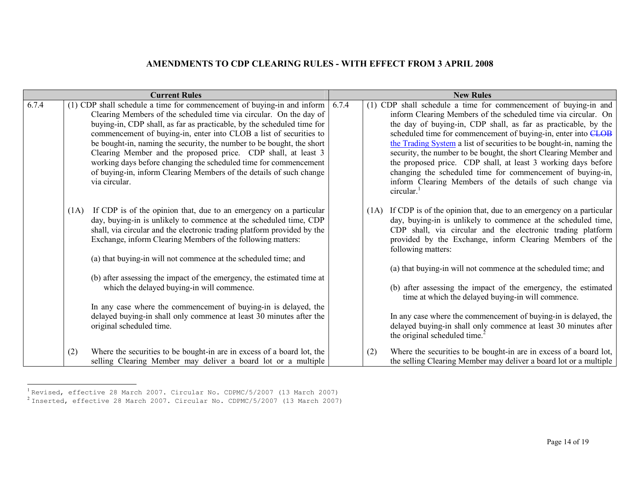| <b>Current Rules</b> |                                                                                                                                                                                                                                                                                                                                                                                                                                                                                                                                                                                                                                                            |       | <b>New Rules</b>                                                                                                                                                                                                                                                                                                                                                                                                                                                                                                                                                                                                                                                        |  |  |
|----------------------|------------------------------------------------------------------------------------------------------------------------------------------------------------------------------------------------------------------------------------------------------------------------------------------------------------------------------------------------------------------------------------------------------------------------------------------------------------------------------------------------------------------------------------------------------------------------------------------------------------------------------------------------------------|-------|-------------------------------------------------------------------------------------------------------------------------------------------------------------------------------------------------------------------------------------------------------------------------------------------------------------------------------------------------------------------------------------------------------------------------------------------------------------------------------------------------------------------------------------------------------------------------------------------------------------------------------------------------------------------------|--|--|
| 6.7.4                | (1) CDP shall schedule a time for commencement of buying-in and inform<br>Clearing Members of the scheduled time via circular. On the day of<br>buying-in, CDP shall, as far as practicable, by the scheduled time for<br>commencement of buying-in, enter into CLOB a list of securities to<br>be bought-in, naming the security, the number to be bought, the short<br>Clearing Member and the proposed price. CDP shall, at least 3<br>working days before changing the scheduled time for commencement<br>of buying-in, inform Clearing Members of the details of such change<br>via circular.                                                         | 6.7.4 | (1) CDP shall schedule a time for commencement of buying-in and<br>inform Clearing Members of the scheduled time via circular. On<br>the day of buying-in, CDP shall, as far as practicable, by the<br>scheduled time for commencement of buying-in, enter into CLOB<br>the Trading System a list of securities to be bought-in, naming the<br>security, the number to be bought, the short Clearing Member and<br>the proposed price. CDP shall, at least 3 working days before<br>changing the scheduled time for commencement of buying-in,<br>inform Clearing Members of the details of such change via<br>circular. <sup>1</sup>                                   |  |  |
|                      | If CDP is of the opinion that, due to an emergency on a particular<br>(1A)<br>day, buying-in is unlikely to commence at the scheduled time, CDP<br>shall, via circular and the electronic trading platform provided by the<br>Exchange, inform Clearing Members of the following matters:<br>(a) that buying-in will not commence at the scheduled time; and<br>(b) after assessing the impact of the emergency, the estimated time at<br>which the delayed buying-in will commence.<br>In any case where the commencement of buying-in is delayed, the<br>delayed buying-in shall only commence at least 30 minutes after the<br>original scheduled time. |       | (1A) If CDP is of the opinion that, due to an emergency on a particular<br>day, buying-in is unlikely to commence at the scheduled time,<br>CDP shall, via circular and the electronic trading platform<br>provided by the Exchange, inform Clearing Members of the<br>following matters:<br>(a) that buying-in will not commence at the scheduled time; and<br>(b) after assessing the impact of the emergency, the estimated<br>time at which the delayed buying-in will commence.<br>In any case where the commencement of buying-in is delayed, the<br>delayed buying-in shall only commence at least 30 minutes after<br>the original scheduled time. <sup>2</sup> |  |  |
|                      | Where the securities to be bought-in are in excess of a board lot, the<br>(2)<br>selling Clearing Member may deliver a board lot or a multiple                                                                                                                                                                                                                                                                                                                                                                                                                                                                                                             |       | Where the securities to be bought-in are in excess of a board lot,<br>(2)<br>the selling Clearing Member may deliver a board lot or a multiple                                                                                                                                                                                                                                                                                                                                                                                                                                                                                                                          |  |  |

<sup>&</sup>lt;sup>1</sup> Revised, effective 28 March 2007. Circular No. CDPMC/5/2007 (13 March 2007)<br><sup>2</sup> Inserted, effective 28 March 2007. Circular No. CDPMC/5/2007 (13 March 2007)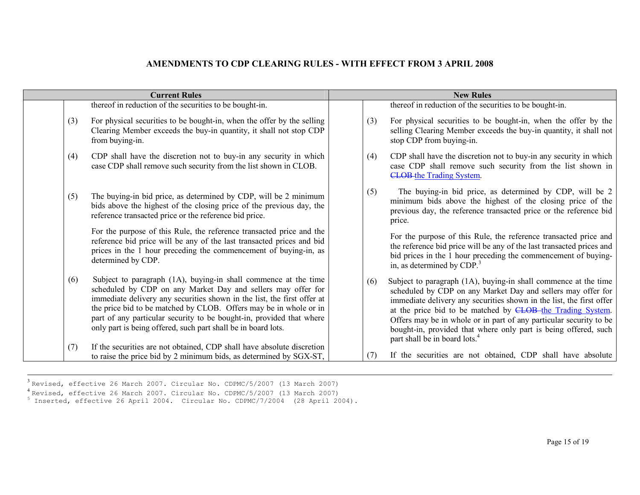|                                                                                                                                                                                                                                                                                                                                                                                                                          | <b>Current Rules</b>   |     | <b>New Rules</b>                                                                                                                                                                                                                                                                                                                                                                                                                                            |  |  |
|--------------------------------------------------------------------------------------------------------------------------------------------------------------------------------------------------------------------------------------------------------------------------------------------------------------------------------------------------------------------------------------------------------------------------|------------------------|-----|-------------------------------------------------------------------------------------------------------------------------------------------------------------------------------------------------------------------------------------------------------------------------------------------------------------------------------------------------------------------------------------------------------------------------------------------------------------|--|--|
| thereof in reduction of the securities to be bought-in.                                                                                                                                                                                                                                                                                                                                                                  |                        |     | thereof in reduction of the securities to be bought-in.                                                                                                                                                                                                                                                                                                                                                                                                     |  |  |
| For physical securities to be bought-in, when the offer by the selling<br>Clearing Member exceeds the buy-in quantity, it shall not stop CDP                                                                                                                                                                                                                                                                             | (3)<br>from buying-in. | (3) | For physical securities to be bought-in, when the offer by the<br>selling Clearing Member exceeds the buy-in quantity, it shall not<br>stop CDP from buying-in.                                                                                                                                                                                                                                                                                             |  |  |
| CDP shall have the discretion not to buy-in any security in which<br>case CDP shall remove such security from the list shown in CLOB.                                                                                                                                                                                                                                                                                    | (4)                    | (4) | CDP shall have the discretion not to buy-in any security in which<br>case CDP shall remove such security from the list shown in<br><b>CLOB-the Trading System.</b>                                                                                                                                                                                                                                                                                          |  |  |
| The buying-in bid price, as determined by CDP, will be 2 minimum<br>bids above the highest of the closing price of the previous day, the<br>reference transacted price or the reference bid price.                                                                                                                                                                                                                       | (5)                    | (5) | The buying-in bid price, as determined by CDP, will be 2<br>minimum bids above the highest of the closing price of the<br>previous day, the reference transacted price or the reference bid<br>price.                                                                                                                                                                                                                                                       |  |  |
| For the purpose of this Rule, the reference transacted price and the<br>reference bid price will be any of the last transacted prices and bid<br>prices in the 1 hour preceding the commencement of buying-in, as                                                                                                                                                                                                        | determined by CDP.     |     | For the purpose of this Rule, the reference transacted price and<br>the reference bid price will be any of the last transacted prices and<br>bid prices in the 1 hour preceding the commencement of buying-<br>in, as determined by $CDP3$                                                                                                                                                                                                                  |  |  |
| Subject to paragraph (1A), buying-in shall commence at the time<br>scheduled by CDP on any Market Day and sellers may offer for<br>immediate delivery any securities shown in the list, the first offer at<br>the price bid to be matched by CLOB. Offers may be in whole or in<br>part of any particular security to be bought-in, provided that where<br>only part is being offered, such part shall be in board lots. | (6)                    | (6) | Subject to paragraph (1A), buying-in shall commence at the time<br>scheduled by CDP on any Market Day and sellers may offer for<br>immediate delivery any securities shown in the list, the first offer<br>at the price bid to be matched by CLOB-the Trading System.<br>Offers may be in whole or in part of any particular security to be<br>bought-in, provided that where only part is being offered, such<br>part shall be in board lots. <sup>4</sup> |  |  |
|                                                                                                                                                                                                                                                                                                                                                                                                                          | (7)                    | (7) | If the securities are not obtained, CDP shall have absolute                                                                                                                                                                                                                                                                                                                                                                                                 |  |  |
| If the securities are not obtained, CDP shall have absolute discretion<br>to raise the price bid by 2 minimum bids, as determined by SGX-ST,                                                                                                                                                                                                                                                                             |                        |     |                                                                                                                                                                                                                                                                                                                                                                                                                                                             |  |  |

<sup>3</sup> Revised, effective 26 March 2007. Circular No. CDPMC/5/2007 (13 March 2007)<br><sup>4</sup> Revised, effective 26 March 2007. Circular No. CDPMC/5/2007 (13 March 2007)  $^5$  Inserted, effective 26 April 2004. Circular No. CDPMC/7/2004 (28 April 2004).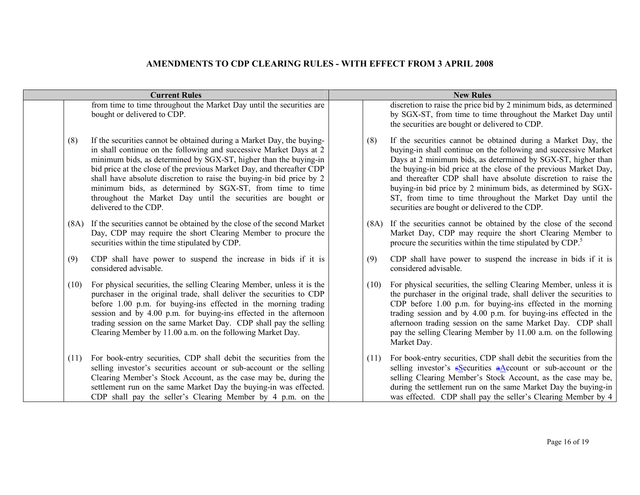Г

|      | <b>Current Rules</b>                                                                                                                                                                                                                                                                                                                                                                                                                                                                                                  |  |      | <b>New Rules</b>                                                                                                                                                                                                                                                                                                                                                                                                                                                                                                      |  |  |
|------|-----------------------------------------------------------------------------------------------------------------------------------------------------------------------------------------------------------------------------------------------------------------------------------------------------------------------------------------------------------------------------------------------------------------------------------------------------------------------------------------------------------------------|--|------|-----------------------------------------------------------------------------------------------------------------------------------------------------------------------------------------------------------------------------------------------------------------------------------------------------------------------------------------------------------------------------------------------------------------------------------------------------------------------------------------------------------------------|--|--|
|      | from time to time throughout the Market Day until the securities are<br>bought or delivered to CDP.                                                                                                                                                                                                                                                                                                                                                                                                                   |  |      | discretion to raise the price bid by 2 minimum bids, as determined<br>by SGX-ST, from time to time throughout the Market Day until<br>the securities are bought or delivered to CDP.                                                                                                                                                                                                                                                                                                                                  |  |  |
| (8)  | If the securities cannot be obtained during a Market Day, the buying-<br>in shall continue on the following and successive Market Days at 2<br>minimum bids, as determined by SGX-ST, higher than the buying-in<br>bid price at the close of the previous Market Day, and thereafter CDP<br>shall have absolute discretion to raise the buying-in bid price by 2<br>minimum bids, as determined by SGX-ST, from time to time<br>throughout the Market Day until the securities are bought or<br>delivered to the CDP. |  | (8)  | If the securities cannot be obtained during a Market Day, the<br>buying-in shall continue on the following and successive Market<br>Days at 2 minimum bids, as determined by SGX-ST, higher than<br>the buying-in bid price at the close of the previous Market Day,<br>and thereafter CDP shall have absolute discretion to raise the<br>buying-in bid price by 2 minimum bids, as determined by SGX-<br>ST, from time to time throughout the Market Day until the<br>securities are bought or delivered to the CDP. |  |  |
|      | (8A) If the securities cannot be obtained by the close of the second Market<br>Day, CDP may require the short Clearing Member to procure the<br>securities within the time stipulated by CDP.                                                                                                                                                                                                                                                                                                                         |  |      | (8A) If the securities cannot be obtained by the close of the second<br>Market Day, CDP may require the short Clearing Member to<br>procure the securities within the time stipulated by CDP. <sup>5</sup>                                                                                                                                                                                                                                                                                                            |  |  |
| (9)  | CDP shall have power to suspend the increase in bids if it is<br>considered advisable.                                                                                                                                                                                                                                                                                                                                                                                                                                |  | (9)  | CDP shall have power to suspend the increase in bids if it is<br>considered advisable.                                                                                                                                                                                                                                                                                                                                                                                                                                |  |  |
| (10) | For physical securities, the selling Clearing Member, unless it is the<br>purchaser in the original trade, shall deliver the securities to CDP<br>before 1.00 p.m. for buying-ins effected in the morning trading<br>session and by 4.00 p.m. for buying-ins effected in the afternoon<br>trading session on the same Market Day. CDP shall pay the selling<br>Clearing Member by 11.00 a.m. on the following Market Day.                                                                                             |  | (10) | For physical securities, the selling Clearing Member, unless it is<br>the purchaser in the original trade, shall deliver the securities to<br>CDP before 1.00 p.m. for buying-ins effected in the morning<br>trading session and by 4.00 p.m. for buying-ins effected in the<br>afternoon trading session on the same Market Day. CDP shall<br>pay the selling Clearing Member by 11.00 a.m. on the following<br>Market Day.                                                                                          |  |  |
| (11) | For book-entry securities, CDP shall debit the securities from the<br>selling investor's securities account or sub-account or the selling<br>Clearing Member's Stock Account, as the case may be, during the<br>settlement run on the same Market Day the buying-in was effected.<br>CDP shall pay the seller's Clearing Member by 4 p.m. on the                                                                                                                                                                      |  | (11) | For book-entry securities, CDP shall debit the securities from the<br>selling investor's selectivities $aA$ ccount or sub-account or the<br>selling Clearing Member's Stock Account, as the case may be,<br>during the settlement run on the same Market Day the buying-in<br>was effected. CDP shall pay the seller's Clearing Member by 4                                                                                                                                                                           |  |  |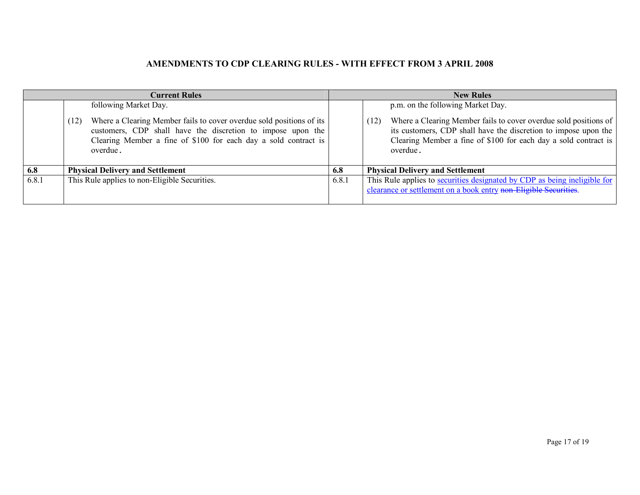|       | <b>Current Rules</b>                                                                                                                                                                                                       | <b>New Rules</b> |                                                                                                                                                                                                                            |  |
|-------|----------------------------------------------------------------------------------------------------------------------------------------------------------------------------------------------------------------------------|------------------|----------------------------------------------------------------------------------------------------------------------------------------------------------------------------------------------------------------------------|--|
|       | following Market Day.                                                                                                                                                                                                      |                  | p.m. on the following Market Day.                                                                                                                                                                                          |  |
|       | Where a Clearing Member fails to cover overdue sold positions of its<br>(12)<br>customers, CDP shall have the discretion to impose upon the<br>Clearing Member a fine of \$100 for each day a sold contract is<br>overdue. |                  | Where a Clearing Member fails to cover overdue sold positions of<br>(12)<br>its customers, CDP shall have the discretion to impose upon the<br>Clearing Member a fine of \$100 for each day a sold contract is<br>overdue. |  |
| 6.8   | <b>Physical Delivery and Settlement</b>                                                                                                                                                                                    | 6.8              | <b>Physical Delivery and Settlement</b>                                                                                                                                                                                    |  |
| 6.8.1 | This Rule applies to non-Eligible Securities.                                                                                                                                                                              | 6.8.1            | This Rule applies to securities designated by CDP as being ineligible for<br>clearance or settlement on a book entry non-Eligible Securities.                                                                              |  |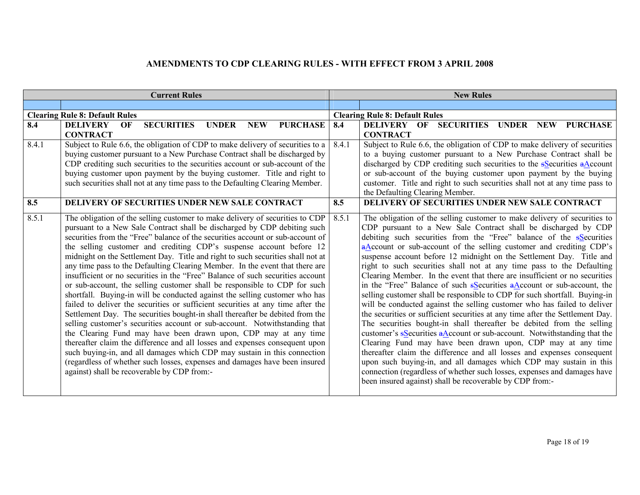|       | <b>Current Rules</b>                                                                                                                                        | <b>New Rules</b> |                                                                                                                                                      |  |
|-------|-------------------------------------------------------------------------------------------------------------------------------------------------------------|------------------|------------------------------------------------------------------------------------------------------------------------------------------------------|--|
|       |                                                                                                                                                             |                  |                                                                                                                                                      |  |
|       | <b>Clearing Rule 8: Default Rules</b>                                                                                                                       |                  | <b>Clearing Rule 8: Default Rules</b>                                                                                                                |  |
| 8.4   | <b>SECURITIES</b><br><b>PURCHASE</b><br><b>DELIVERY</b><br><b>UNDER</b><br>OF<br><b>NEW</b>                                                                 | 8.4              | <b>SECURITIES</b><br><b>DELIVERY OF</b><br>UNDER NEW PURCHASE                                                                                        |  |
|       | <b>CONTRACT</b>                                                                                                                                             |                  | <b>CONTRACT</b>                                                                                                                                      |  |
| 8.4.1 | Subject to Rule 6.6, the obligation of CDP to make delivery of securities to a                                                                              | 8.4.1            | Subject to Rule 6.6, the obligation of CDP to make delivery of securities                                                                            |  |
|       | buying customer pursuant to a New Purchase Contract shall be discharged by<br>CDP crediting such securities to the securities account or sub-account of the |                  | to a buying customer pursuant to a New Purchase Contract shall be                                                                                    |  |
|       | buying customer upon payment by the buying customer. Title and right to                                                                                     |                  | discharged by CDP crediting such securities to the $s$ Securities $a$ Account<br>or sub-account of the buying customer upon payment by the buying    |  |
|       | such securities shall not at any time pass to the Defaulting Clearing Member.                                                                               |                  | customer. Title and right to such securities shall not at any time pass to                                                                           |  |
|       |                                                                                                                                                             |                  | the Defaulting Clearing Member.                                                                                                                      |  |
| 8.5   | <b>DELIVERY OF SECURITIES UNDER NEW SALE CONTRACT</b>                                                                                                       | 8.5              | <b>DELIVERY OF SECURITIES UNDER NEW SALE CONTRACT</b>                                                                                                |  |
| 8.5.1 | The obligation of the selling customer to make delivery of securities to CDP                                                                                | 8.5.1            | The obligation of the selling customer to make delivery of securities to                                                                             |  |
|       | pursuant to a New Sale Contract shall be discharged by CDP debiting such                                                                                    |                  | CDP pursuant to a New Sale Contract shall be discharged by CDP                                                                                       |  |
|       | securities from the "Free" balance of the securities account or sub-account of                                                                              |                  | debiting such securities from the "Free" balance of the <b>s</b> Securities                                                                          |  |
|       | the selling customer and crediting CDP's suspense account before 12                                                                                         |                  | aAccount or sub-account of the selling customer and crediting CDP's                                                                                  |  |
|       | midnight on the Settlement Day. Title and right to such securities shall not at                                                                             |                  | suspense account before 12 midnight on the Settlement Day. Title and                                                                                 |  |
|       | any time pass to the Defaulting Clearing Member. In the event that there are                                                                                |                  | right to such securities shall not at any time pass to the Defaulting                                                                                |  |
|       | insufficient or no securities in the "Free" Balance of such securities account                                                                              |                  | Clearing Member. In the event that there are insufficient or no securities                                                                           |  |
|       | or sub-account, the selling customer shall be responsible to CDP for such<br>shortfall. Buying-in will be conducted against the selling customer who has    |                  | in the "Free" Balance of such sSecurities aAccount or sub-account, the<br>selling customer shall be responsible to CDP for such shortfall. Buying-in |  |
|       | failed to deliver the securities or sufficient securities at any time after the                                                                             |                  | will be conducted against the selling customer who has failed to deliver                                                                             |  |
|       | Settlement Day. The securities bought-in shall thereafter be debited from the                                                                               |                  | the securities or sufficient securities at any time after the Settlement Day.                                                                        |  |
|       | selling customer's securities account or sub-account. Notwithstanding that                                                                                  |                  | The securities bought-in shall thereafter be debited from the selling                                                                                |  |
|       | the Clearing Fund may have been drawn upon, CDP may at any time                                                                                             |                  | customer's $s$ Securities $a$ Account or sub-account. Notwithstanding that the                                                                       |  |
|       | thereafter claim the difference and all losses and expenses consequent upon                                                                                 |                  | Clearing Fund may have been drawn upon, CDP may at any time                                                                                          |  |
|       | such buying-in, and all damages which CDP may sustain in this connection                                                                                    |                  | thereafter claim the difference and all losses and expenses consequent                                                                               |  |
|       | (regardless of whether such losses, expenses and damages have been insured                                                                                  |                  | upon such buying-in, and all damages which CDP may sustain in this                                                                                   |  |
|       | against) shall be recoverable by CDP from:-                                                                                                                 |                  | connection (regardless of whether such losses, expenses and damages have                                                                             |  |
|       |                                                                                                                                                             |                  | been insured against) shall be recoverable by CDP from:-                                                                                             |  |